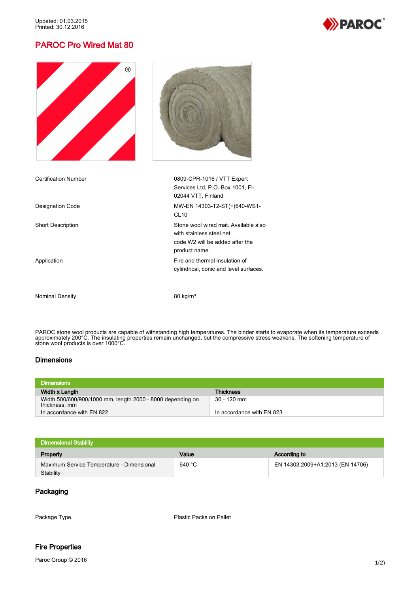Updated: 01.03.2015 Printed: 30.12.2016



# PAROC Pro Wired Mat 80

| $^{\circledR}$              |                                                                                                                      |
|-----------------------------|----------------------------------------------------------------------------------------------------------------------|
| <b>Certification Number</b> | 0809-CPR-1016 / VTT Expert<br>Services Ltd, P.O. Box 1001, FI-<br>02044 VTT, Finland                                 |
| <b>Designation Code</b>     | MW-EN 14303-T2-ST(+)640-WS1-<br>CL10                                                                                 |
| Short Description           | Stone wool wired mat. Available also<br>with stainless steel net<br>code W2 will be added after the<br>product name. |
| Application                 | Fire and thermal insulation of<br>cylindrical, conic and level surfaces.                                             |
| <b>Nominal Density</b>      | 80 kg/m <sup>3</sup>                                                                                                 |

PAROC stone wool products are capable of withstanding high temperatures. The binder starts to evaporate when its temperature exceeds approximately 200°C. The insulating properties remain unchanged, but the compressive stress weakens. The softening temperature of stone wool products is over 1000°C.

### **Dimensions**

| <b>Dimensions</b>                                                           |                           |
|-----------------------------------------------------------------------------|---------------------------|
| Width x Length                                                              | Thickness                 |
| Width 500/600/900/1000 mm, length 2000 - 8000 depending on<br>thickness, mm | $30 - 120$ mm             |
| In accordance with EN 822                                                   | In accordance with EN 823 |

| <b>Dimensional Stability</b>                           |        |                                  |
|--------------------------------------------------------|--------|----------------------------------|
| Property                                               | Value  | According to                     |
| Maximum Service Temperature - Dimensional<br>Stability | 640 °C | EN 14303:2009+A1:2013 (EN 14706) |

#### Packaging

Package Type **Package Type** Plastic Packs on Pallet

## Fire Properties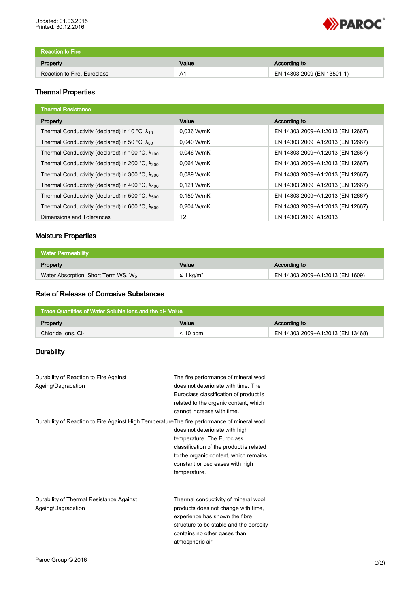

| <b>Reaction to Fire</b>     |       |                            |
|-----------------------------|-------|----------------------------|
| Property                    | Value | According to               |
| Reaction to Fire, Euroclass | A1    | EN 14303:2009 (EN 13501-1) |

## Thermal Properties

| <b>Thermal Resistance</b>                                  |              |                                  |
|------------------------------------------------------------|--------------|----------------------------------|
| Property                                                   | Value        | According to                     |
| Thermal Conductivity (declared) in 10 °C, $\lambda_{10}$   | 0.036 W/mK   | EN 14303:2009+A1:2013 (EN 12667) |
| Thermal Conductivity (declared) in 50 °C, $\lambda_{50}$   | 0.040 W/mK   | EN 14303:2009+A1:2013 (EN 12667) |
| Thermal Conductivity (declared) in 100 °C, $\lambda_{100}$ | 0.046 W/mK   | EN 14303:2009+A1:2013 (EN 12667) |
| Thermal Conductivity (declared) in 200 °C, $\lambda_{200}$ | 0.064 W/mK   | EN 14303:2009+A1:2013 (EN 12667) |
| Thermal Conductivity (declared) in 300 °C, $\lambda_{300}$ | 0.089 W/mK   | EN 14303:2009+A1:2013 (EN 12667) |
| Thermal Conductivity (declared) in 400 °C, $\lambda_{400}$ | 0.121 W/mK   | EN 14303:2009+A1:2013 (EN 12667) |
| Thermal Conductivity (declared) in 500 °C, $\lambda_{500}$ | $0.159$ W/mK | EN 14303:2009+A1:2013 (EN 12667) |
| Thermal Conductivity (declared) in 600 °C, $\lambda_{600}$ | 0,204 W/mK   | EN 14303:2009+A1:2013 (EN 12667) |
| Dimensions and Tolerances                                  | T2           | EN 14303:2009+A1:2013            |

#### Moisture Properties

| <b>Water Permeability</b>                       |                       |                                 |
|-------------------------------------------------|-----------------------|---------------------------------|
| Property                                        | Value                 | According to                    |
| Water Absorption, Short Term WS, W <sub>p</sub> | ≤ 1 kg/m <sup>2</sup> | EN 14303:2009+A1:2013 (EN 1609) |

## Rate of Release of Corrosive Substances

| Trace Quantities of Water Soluble lons and the pH Value |            |                                  |
|---------------------------------------------------------|------------|----------------------------------|
| Property                                                | Value      | According to                     |
| Chloride Ions, CI-                                      | $< 10$ ppm | EN 14303:2009+A1:2013 (EN 13468) |

## **Durability**

| Durability of Reaction to Fire Against<br>Ageing/Degradation                                 | The fire performance of mineral wool<br>does not deteriorate with time. The<br>Euroclass classification of product is<br>related to the organic content, which<br>cannot increase with time.                 |
|----------------------------------------------------------------------------------------------|--------------------------------------------------------------------------------------------------------------------------------------------------------------------------------------------------------------|
| Durability of Reaction to Fire Against High Temperature The fire performance of mineral wool | does not deteriorate with high<br>temperature. The Euroclass<br>classification of the product is related<br>to the organic content, which remains<br>constant or decreases with high<br>temperature.         |
| Durability of Thermal Resistance Against<br>Ageing/Degradation                               | Thermal conductivity of mineral wool<br>products does not change with time,<br>experience has shown the fibre<br>structure to be stable and the porosity<br>contains no other gases than<br>atmospheric air. |